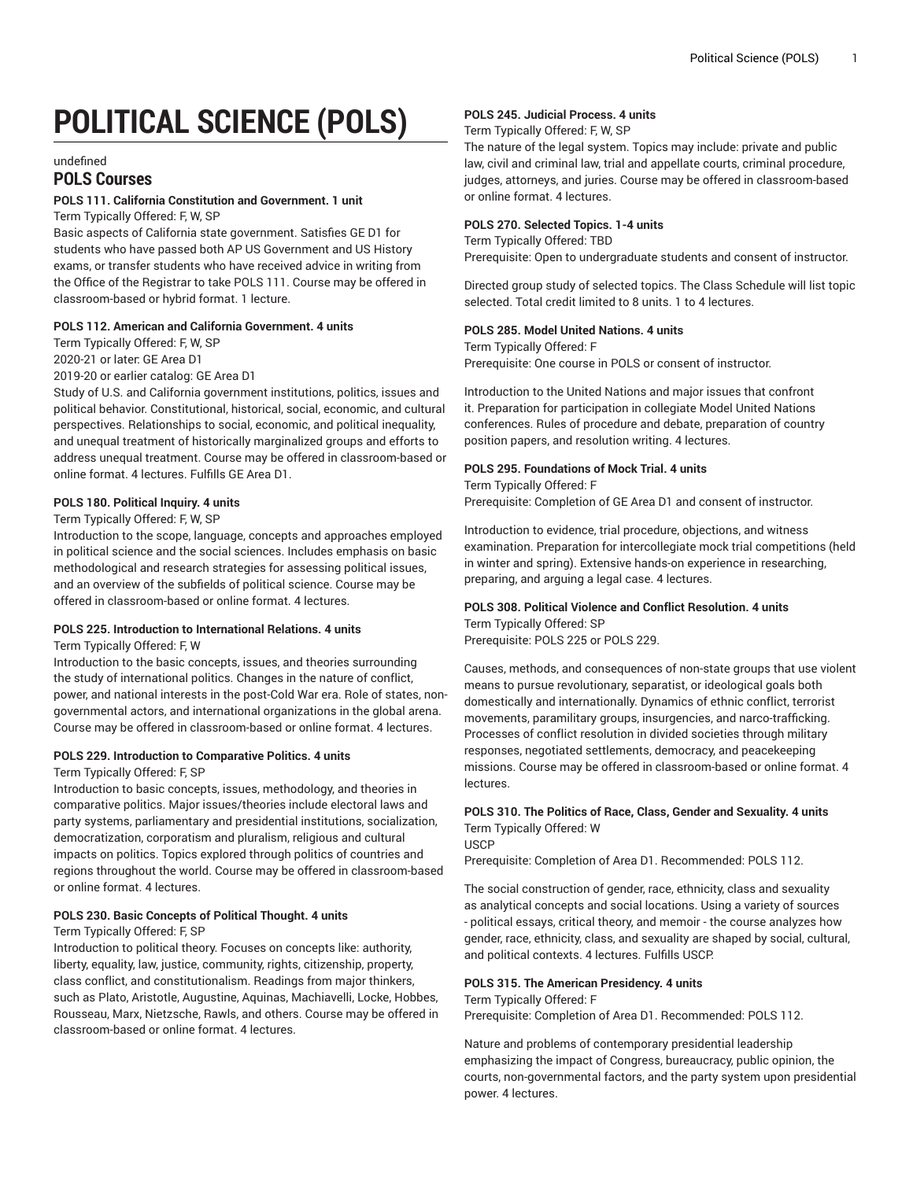# **POLITICAL SCIENCE (POLS)**

#### undefined

# **POLS Courses**

# **POLS 111. California Constitution and Government. 1 unit**

Term Typically Offered: F, W, SP

Basic aspects of California state government. Satisfies GE D1 for students who have passed both AP US Government and US History exams, or transfer students who have received advice in writing from the Office of the Registrar to take POLS 111. Course may be offered in classroom-based or hybrid format. 1 lecture.

## **POLS 112. American and California Government. 4 units**

Term Typically Offered: F, W, SP 2020-21 or later: GE Area D1 2019-20 or earlier catalog: GE Area D1

Study of U.S. and California government institutions, politics, issues and political behavior. Constitutional, historical, social, economic, and cultural perspectives. Relationships to social, economic, and political inequality, and unequal treatment of historically marginalized groups and efforts to address unequal treatment. Course may be offered in classroom-based or online format. 4 lectures. Fulfills GE Area D1.

# **POLS 180. Political Inquiry. 4 units**

#### Term Typically Offered: F, W, SP

Introduction to the scope, language, concepts and approaches employed in political science and the social sciences. Includes emphasis on basic methodological and research strategies for assessing political issues, and an overview of the subfields of political science. Course may be offered in classroom-based or online format. 4 lectures.

#### **POLS 225. Introduction to International Relations. 4 units**

Term Typically Offered: F, W

Introduction to the basic concepts, issues, and theories surrounding the study of international politics. Changes in the nature of conflict, power, and national interests in the post-Cold War era. Role of states, nongovernmental actors, and international organizations in the global arena. Course may be offered in classroom-based or online format. 4 lectures.

#### **POLS 229. Introduction to Comparative Politics. 4 units**

#### Term Typically Offered: F, SP

Introduction to basic concepts, issues, methodology, and theories in comparative politics. Major issues/theories include electoral laws and party systems, parliamentary and presidential institutions, socialization, democratization, corporatism and pluralism, religious and cultural impacts on politics. Topics explored through politics of countries and regions throughout the world. Course may be offered in classroom-based or online format. 4 lectures.

# **POLS 230. Basic Concepts of Political Thought. 4 units**

#### Term Typically Offered: F, SP

Introduction to political theory. Focuses on concepts like: authority, liberty, equality, law, justice, community, rights, citizenship, property, class conflict, and constitutionalism. Readings from major thinkers, such as Plato, Aristotle, Augustine, Aquinas, Machiavelli, Locke, Hobbes, Rousseau, Marx, Nietzsche, Rawls, and others. Course may be offered in classroom-based or online format. 4 lectures.

#### **POLS 245. Judicial Process. 4 units**

Term Typically Offered: F, W, SP

The nature of the legal system. Topics may include: private and public law, civil and criminal law, trial and appellate courts, criminal procedure, judges, attorneys, and juries. Course may be offered in classroom-based or online format. 4 lectures.

#### **POLS 270. Selected Topics. 1-4 units**

Term Typically Offered: TBD

Prerequisite: Open to undergraduate students and consent of instructor.

Directed group study of selected topics. The Class Schedule will list topic selected. Total credit limited to 8 units. 1 to 4 lectures.

#### **POLS 285. Model United Nations. 4 units**

Term Typically Offered: F Prerequisite: One course in POLS or consent of instructor.

Introduction to the United Nations and major issues that confront it. Preparation for participation in collegiate Model United Nations conferences. Rules of procedure and debate, preparation of country position papers, and resolution writing. 4 lectures.

# **POLS 295. Foundations of Mock Trial. 4 units**

Term Typically Offered: F Prerequisite: Completion of GE Area D1 and consent of instructor.

Introduction to evidence, trial procedure, objections, and witness examination. Preparation for intercollegiate mock trial competitions (held in winter and spring). Extensive hands-on experience in researching, preparing, and arguing a legal case. 4 lectures.

#### **POLS 308. Political Violence and Conflict Resolution. 4 units** Term Typically Offered: SP

Prerequisite: POLS 225 or POLS 229.

Causes, methods, and consequences of non-state groups that use violent means to pursue revolutionary, separatist, or ideological goals both domestically and internationally. Dynamics of ethnic conflict, terrorist movements, paramilitary groups, insurgencies, and narco-trafficking. Processes of conflict resolution in divided societies through military responses, negotiated settlements, democracy, and peacekeeping missions. Course may be offered in classroom-based or online format. 4 lectures.

# **POLS 310. The Politics of Race, Class, Gender and Sexuality. 4 units** Term Typically Offered: W

USCP

Prerequisite: Completion of Area D1. Recommended: POLS 112.

The social construction of gender, race, ethnicity, class and sexuality as analytical concepts and social locations. Using a variety of sources - political essays, critical theory, and memoir - the course analyzes how gender, race, ethnicity, class, and sexuality are shaped by social, cultural, and political contexts. 4 lectures. Fulfills USCP.

#### **POLS 315. The American Presidency. 4 units** Term Typically Offered: F

Prerequisite: Completion of Area D1. Recommended: POLS 112.

Nature and problems of contemporary presidential leadership emphasizing the impact of Congress, bureaucracy, public opinion, the courts, non-governmental factors, and the party system upon presidential power. 4 lectures.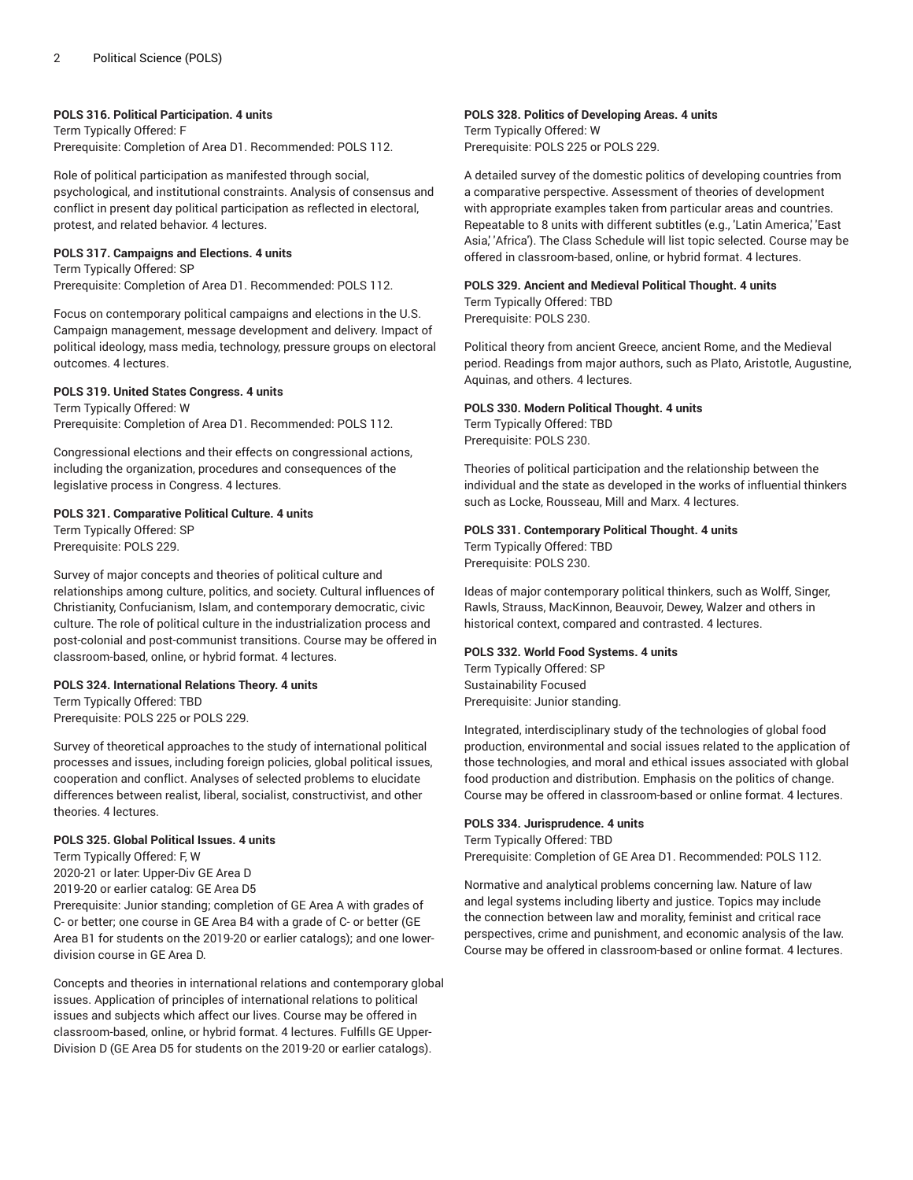#### **POLS 316. Political Participation. 4 units**

Term Typically Offered: F Prerequisite: Completion of Area D1. Recommended: POLS 112.

Role of political participation as manifested through social, psychological, and institutional constraints. Analysis of consensus and conflict in present day political participation as reflected in electoral, protest, and related behavior. 4 lectures.

#### **POLS 317. Campaigns and Elections. 4 units**

Term Typically Offered: SP Prerequisite: Completion of Area D1. Recommended: POLS 112.

Focus on contemporary political campaigns and elections in the U.S. Campaign management, message development and delivery. Impact of political ideology, mass media, technology, pressure groups on electoral outcomes. 4 lectures.

#### **POLS 319. United States Congress. 4 units**

Term Typically Offered: W Prerequisite: Completion of Area D1. Recommended: POLS 112.

Congressional elections and their effects on congressional actions, including the organization, procedures and consequences of the legislative process in Congress. 4 lectures.

# **POLS 321. Comparative Political Culture. 4 units**

Term Typically Offered: SP Prerequisite: POLS 229.

Survey of major concepts and theories of political culture and relationships among culture, politics, and society. Cultural influences of Christianity, Confucianism, Islam, and contemporary democratic, civic culture. The role of political culture in the industrialization process and post-colonial and post-communist transitions. Course may be offered in classroom-based, online, or hybrid format. 4 lectures.

#### **POLS 324. International Relations Theory. 4 units**

Term Typically Offered: TBD Prerequisite: POLS 225 or POLS 229.

Survey of theoretical approaches to the study of international political processes and issues, including foreign policies, global political issues, cooperation and conflict. Analyses of selected problems to elucidate differences between realist, liberal, socialist, constructivist, and other theories. 4 lectures.

#### **POLS 325. Global Political Issues. 4 units**

Term Typically Offered: F, W

2020-21 or later: Upper-Div GE Area D 2019-20 or earlier catalog: GE Area D5

Prerequisite: Junior standing; completion of GE Area A with grades of C- or better; one course in GE Area B4 with a grade of C- or better (GE Area B1 for students on the 2019-20 or earlier catalogs); and one lowerdivision course in GE Area D.

Concepts and theories in international relations and contemporary global issues. Application of principles of international relations to political issues and subjects which affect our lives. Course may be offered in classroom-based, online, or hybrid format. 4 lectures. Fulfills GE Upper-Division D (GE Area D5 for students on the 2019-20 or earlier catalogs).

# **POLS 328. Politics of Developing Areas. 4 units**

Term Typically Offered: W Prerequisite: POLS 225 or POLS 229.

A detailed survey of the domestic politics of developing countries from a comparative perspective. Assessment of theories of development with appropriate examples taken from particular areas and countries. Repeatable to 8 units with different subtitles (e.g., 'Latin America,' 'East Asia,' 'Africa'). The Class Schedule will list topic selected. Course may be offered in classroom-based, online, or hybrid format. 4 lectures.

# **POLS 329. Ancient and Medieval Political Thought. 4 units**

Term Typically Offered: TBD Prerequisite: POLS 230.

Political theory from ancient Greece, ancient Rome, and the Medieval period. Readings from major authors, such as Plato, Aristotle, Augustine, Aquinas, and others. 4 lectures.

# **POLS 330. Modern Political Thought. 4 units**

Term Typically Offered: TBD Prerequisite: POLS 230.

Theories of political participation and the relationship between the individual and the state as developed in the works of influential thinkers such as Locke, Rousseau, Mill and Marx. 4 lectures.

# **POLS 331. Contemporary Political Thought. 4 units**

Term Typically Offered: TBD Prerequisite: POLS 230.

Ideas of major contemporary political thinkers, such as Wolff, Singer, Rawls, Strauss, MacKinnon, Beauvoir, Dewey, Walzer and others in historical context, compared and contrasted. 4 lectures.

#### **POLS 332. World Food Systems. 4 units**

Term Typically Offered: SP Sustainability Focused Prerequisite: Junior standing.

Integrated, interdisciplinary study of the technologies of global food production, environmental and social issues related to the application of those technologies, and moral and ethical issues associated with global food production and distribution. Emphasis on the politics of change. Course may be offered in classroom-based or online format. 4 lectures.

#### **POLS 334. Jurisprudence. 4 units**

Term Typically Offered: TBD Prerequisite: Completion of GE Area D1. Recommended: POLS 112.

Normative and analytical problems concerning law. Nature of law and legal systems including liberty and justice. Topics may include the connection between law and morality, feminist and critical race perspectives, crime and punishment, and economic analysis of the law. Course may be offered in classroom-based or online format. 4 lectures.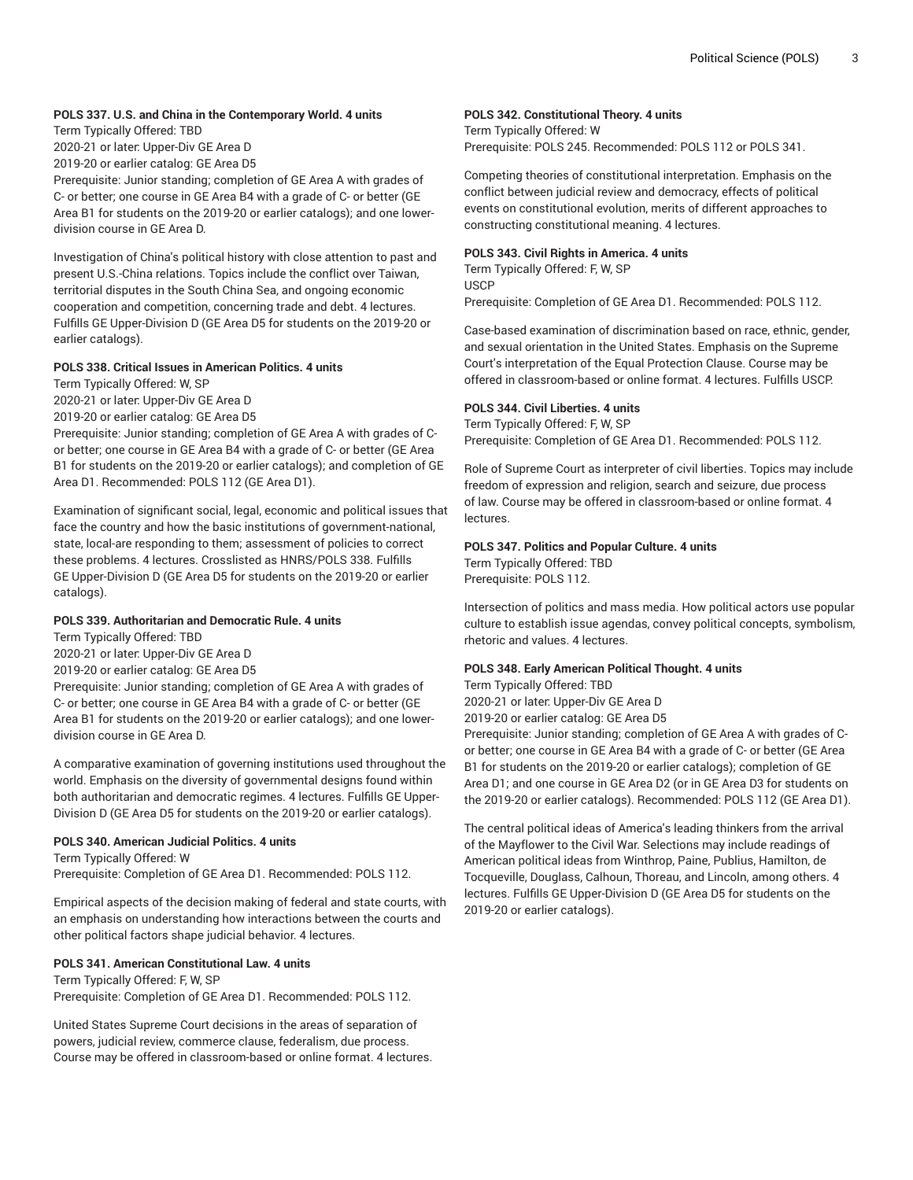#### **POLS 337. U.S. and China in the Contemporary World. 4 units**

Term Typically Offered: TBD

2020-21 or later: Upper-Div GE Area D

2019-20 or earlier catalog: GE Area D5

Prerequisite: Junior standing; completion of GE Area A with grades of C- or better; one course in GE Area B4 with a grade of C- or better (GE Area B1 for students on the 2019-20 or earlier catalogs); and one lowerdivision course in GE Area D.

Investigation of China's political history with close attention to past and present U.S.-China relations. Topics include the conflict over Taiwan, territorial disputes in the South China Sea, and ongoing economic cooperation and competition, concerning trade and debt. 4 lectures. Fulfills GE Upper-Division D (GE Area D5 for students on the 2019-20 or earlier catalogs).

#### **POLS 338. Critical Issues in American Politics. 4 units**

Term Typically Offered: W, SP

2020-21 or later: Upper-Div GE Area D

2019-20 or earlier catalog: GE Area D5

Prerequisite: Junior standing; completion of GE Area A with grades of Cor better; one course in GE Area B4 with a grade of C- or better (GE Area B1 for students on the 2019-20 or earlier catalogs); and completion of GE Area D1. Recommended: POLS 112 (GE Area D1).

Examination of significant social, legal, economic and political issues that face the country and how the basic institutions of government-national, state, local-are responding to them; assessment of policies to correct these problems. 4 lectures. Crosslisted as HNRS/POLS 338. Fulfills GE Upper-Division D (GE Area D5 for students on the 2019-20 or earlier catalogs).

# **POLS 339. Authoritarian and Democratic Rule. 4 units**

Term Typically Offered: TBD

2020-21 or later: Upper-Div GE Area D

2019-20 or earlier catalog: GE Area D5

Prerequisite: Junior standing; completion of GE Area A with grades of C- or better; one course in GE Area B4 with a grade of C- or better (GE Area B1 for students on the 2019-20 or earlier catalogs); and one lowerdivision course in GE Area D.

A comparative examination of governing institutions used throughout the world. Emphasis on the diversity of governmental designs found within both authoritarian and democratic regimes. 4 lectures. Fulfills GE Upper-Division D (GE Area D5 for students on the 2019-20 or earlier catalogs).

# **POLS 340. American Judicial Politics. 4 units**

Term Typically Offered: W Prerequisite: Completion of GE Area D1. Recommended: POLS 112.

Empirical aspects of the decision making of federal and state courts, with an emphasis on understanding how interactions between the courts and other political factors shape judicial behavior. 4 lectures.

#### **POLS 341. American Constitutional Law. 4 units**

Term Typically Offered: F, W, SP Prerequisite: Completion of GE Area D1. Recommended: POLS 112.

United States Supreme Court decisions in the areas of separation of powers, judicial review, commerce clause, federalism, due process. Course may be offered in classroom-based or online format. 4 lectures.

# **POLS 342. Constitutional Theory. 4 units**

Term Typically Offered: W Prerequisite: POLS 245. Recommended: POLS 112 or POLS 341.

Competing theories of constitutional interpretation. Emphasis on the conflict between judicial review and democracy, effects of political events on constitutional evolution, merits of different approaches to constructing constitutional meaning. 4 lectures.

# **POLS 343. Civil Rights in America. 4 units**

Term Typically Offered: F, W, SP USCP Prerequisite: Completion of GE Area D1. Recommended: POLS 112.

Case-based examination of discrimination based on race, ethnic, gender, and sexual orientation in the United States. Emphasis on the Supreme Court's interpretation of the Equal Protection Clause. Course may be offered in classroom-based or online format. 4 lectures. Fulfills USCP.

#### **POLS 344. Civil Liberties. 4 units**

Term Typically Offered: F, W, SP Prerequisite: Completion of GE Area D1. Recommended: POLS 112.

Role of Supreme Court as interpreter of civil liberties. Topics may include freedom of expression and religion, search and seizure, due process of law. Course may be offered in classroom-based or online format. 4 lectures.

#### **POLS 347. Politics and Popular Culture. 4 units**

Term Typically Offered: TBD Prerequisite: POLS 112.

Intersection of politics and mass media. How political actors use popular culture to establish issue agendas, convey political concepts, symbolism, rhetoric and values. 4 lectures.

#### **POLS 348. Early American Political Thought. 4 units**

Term Typically Offered: TBD 2020-21 or later: Upper-Div GE Area D 2019-20 or earlier catalog: GE Area D5

Prerequisite: Junior standing; completion of GE Area A with grades of Cor better; one course in GE Area B4 with a grade of C- or better (GE Area B1 for students on the 2019-20 or earlier catalogs); completion of GE Area D1; and one course in GE Area D2 (or in GE Area D3 for students on the 2019-20 or earlier catalogs). Recommended: POLS 112 (GE Area D1).

The central political ideas of America's leading thinkers from the arrival of the Mayflower to the Civil War. Selections may include readings of American political ideas from Winthrop, Paine, Publius, Hamilton, de Tocqueville, Douglass, Calhoun, Thoreau, and Lincoln, among others. 4 lectures. Fulfills GE Upper-Division D (GE Area D5 for students on the 2019-20 or earlier catalogs).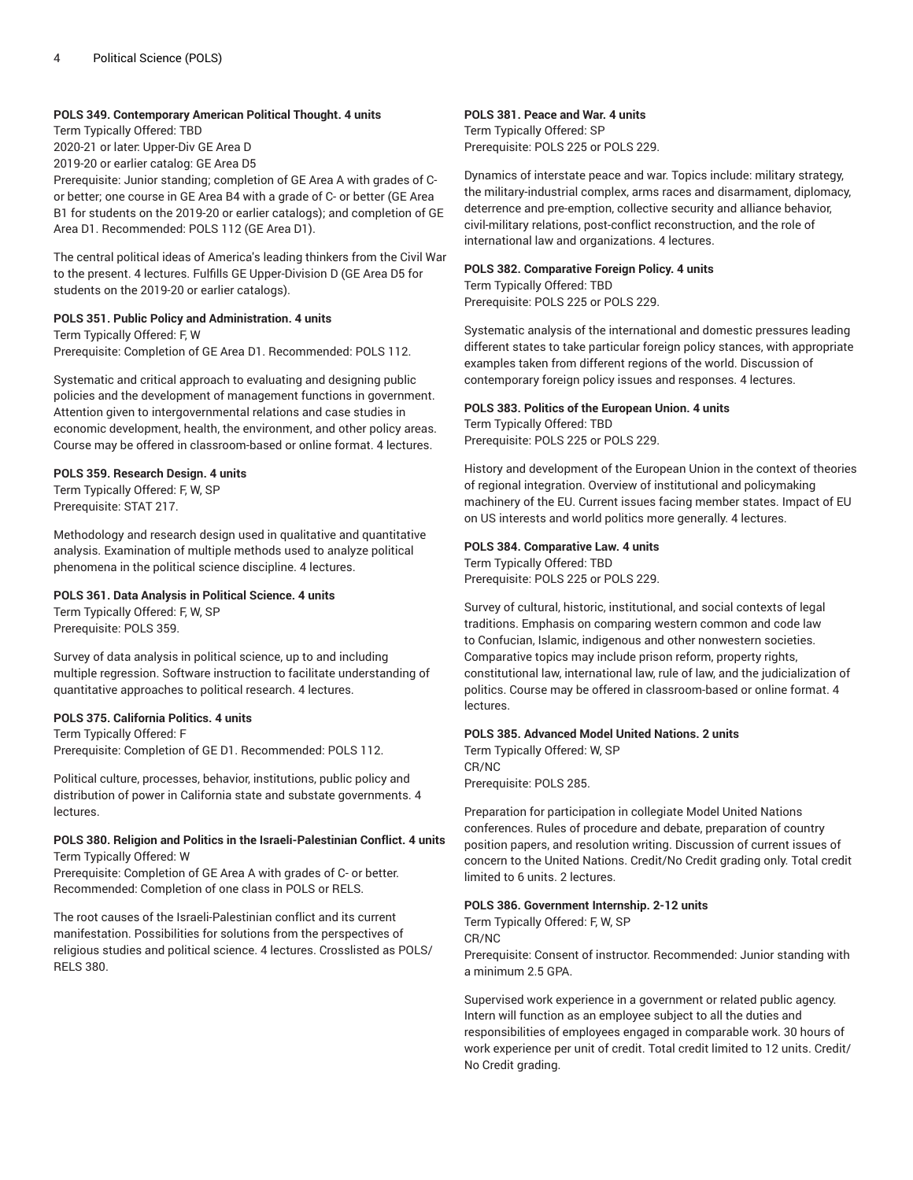#### **POLS 349. Contemporary American Political Thought. 4 units**

Term Typically Offered: TBD

2020-21 or later: Upper-Div GE Area D

2019-20 or earlier catalog: GE Area D5

Prerequisite: Junior standing; completion of GE Area A with grades of Cor better; one course in GE Area B4 with a grade of C- or better (GE Area B1 for students on the 2019-20 or earlier catalogs); and completion of GE Area D1. Recommended: POLS 112 (GE Area D1).

The central political ideas of America's leading thinkers from the Civil War to the present. 4 lectures. Fulfills GE Upper-Division D (GE Area D5 for students on the 2019-20 or earlier catalogs).

#### **POLS 351. Public Policy and Administration. 4 units**

Term Typically Offered: F, W Prerequisite: Completion of GE Area D1. Recommended: POLS 112.

Systematic and critical approach to evaluating and designing public policies and the development of management functions in government. Attention given to intergovernmental relations and case studies in economic development, health, the environment, and other policy areas. Course may be offered in classroom-based or online format. 4 lectures.

#### **POLS 359. Research Design. 4 units**

Term Typically Offered: F, W, SP Prerequisite: STAT 217.

Methodology and research design used in qualitative and quantitative analysis. Examination of multiple methods used to analyze political phenomena in the political science discipline. 4 lectures.

#### **POLS 361. Data Analysis in Political Science. 4 units**

Term Typically Offered: F, W, SP Prerequisite: POLS 359.

Survey of data analysis in political science, up to and including multiple regression. Software instruction to facilitate understanding of quantitative approaches to political research. 4 lectures.

#### **POLS 375. California Politics. 4 units**

Term Typically Offered: F Prerequisite: Completion of GE D1. Recommended: POLS 112.

Political culture, processes, behavior, institutions, public policy and distribution of power in California state and substate governments. 4 lectures.

# **POLS 380. Religion and Politics in the Israeli-Palestinian Conflict. 4 units** Term Typically Offered: W

Prerequisite: Completion of GE Area A with grades of C- or better. Recommended: Completion of one class in POLS or RELS.

The root causes of the Israeli-Palestinian conflict and its current manifestation. Possibilities for solutions from the perspectives of religious studies and political science. 4 lectures. Crosslisted as POLS/ RELS 380.

# **POLS 381. Peace and War. 4 units**

Term Typically Offered: SP Prerequisite: POLS 225 or POLS 229.

Dynamics of interstate peace and war. Topics include: military strategy, the military-industrial complex, arms races and disarmament, diplomacy, deterrence and pre-emption, collective security and alliance behavior, civil-military relations, post-conflict reconstruction, and the role of international law and organizations. 4 lectures.

#### **POLS 382. Comparative Foreign Policy. 4 units**

Term Typically Offered: TBD Prerequisite: POLS 225 or POLS 229.

Systematic analysis of the international and domestic pressures leading different states to take particular foreign policy stances, with appropriate examples taken from different regions of the world. Discussion of contemporary foreign policy issues and responses. 4 lectures.

#### **POLS 383. Politics of the European Union. 4 units**

Term Typically Offered: TBD Prerequisite: POLS 225 or POLS 229.

History and development of the European Union in the context of theories of regional integration. Overview of institutional and policymaking machinery of the EU. Current issues facing member states. Impact of EU on US interests and world politics more generally. 4 lectures.

#### **POLS 384. Comparative Law. 4 units**

Term Typically Offered: TBD Prerequisite: POLS 225 or POLS 229.

Survey of cultural, historic, institutional, and social contexts of legal traditions. Emphasis on comparing western common and code law to Confucian, Islamic, indigenous and other nonwestern societies. Comparative topics may include prison reform, property rights, constitutional law, international law, rule of law, and the judicialization of politics. Course may be offered in classroom-based or online format. 4 lectures.

#### **POLS 385. Advanced Model United Nations. 2 units**

Term Typically Offered: W, SP CR/NC Prerequisite: POLS 285.

Preparation for participation in collegiate Model United Nations conferences. Rules of procedure and debate, preparation of country position papers, and resolution writing. Discussion of current issues of concern to the United Nations. Credit/No Credit grading only. Total credit limited to 6 units. 2 lectures.

#### **POLS 386. Government Internship. 2-12 units**

Term Typically Offered: F, W, SP CR/NC Prerequisite: Consent of instructor. Recommended: Junior standing with a minimum 2.5 GPA.

Supervised work experience in a government or related public agency. Intern will function as an employee subject to all the duties and responsibilities of employees engaged in comparable work. 30 hours of work experience per unit of credit. Total credit limited to 12 units. Credit/ No Credit grading.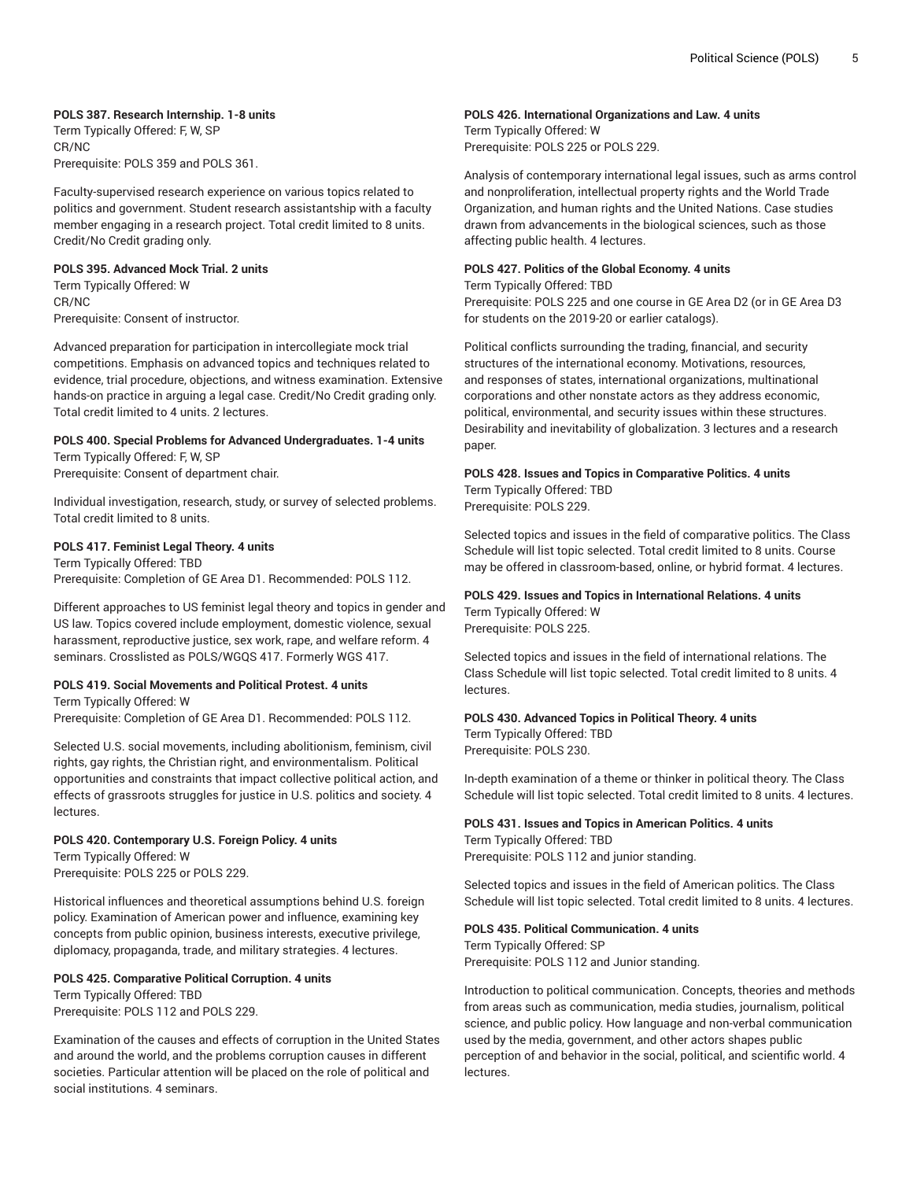## **POLS 387. Research Internship. 1-8 units**

Term Typically Offered: F, W, SP CR/NC Prerequisite: POLS 359 and POLS 361.

Faculty-supervised research experience on various topics related to politics and government. Student research assistantship with a faculty member engaging in a research project. Total credit limited to 8 units. Credit/No Credit grading only.

# **POLS 395. Advanced Mock Trial. 2 units**

Term Typically Offered: W CR/NC Prerequisite: Consent of instructor.

Advanced preparation for participation in intercollegiate mock trial competitions. Emphasis on advanced topics and techniques related to evidence, trial procedure, objections, and witness examination. Extensive hands-on practice in arguing a legal case. Credit/No Credit grading only. Total credit limited to 4 units. 2 lectures.

#### **POLS 400. Special Problems for Advanced Undergraduates. 1-4 units** Term Typically Offered: F, W, SP

Prerequisite: Consent of department chair.

Individual investigation, research, study, or survey of selected problems. Total credit limited to 8 units.

# **POLS 417. Feminist Legal Theory. 4 units**

Term Typically Offered: TBD Prerequisite: Completion of GE Area D1. Recommended: POLS 112.

Different approaches to US feminist legal theory and topics in gender and US law. Topics covered include employment, domestic violence, sexual harassment, reproductive justice, sex work, rape, and welfare reform. 4 seminars. Crosslisted as POLS/WGQS 417. Formerly WGS 417.

#### **POLS 419. Social Movements and Political Protest. 4 units**

Term Typically Offered: W Prerequisite: Completion of GE Area D1. Recommended: POLS 112.

Selected U.S. social movements, including abolitionism, feminism, civil rights, gay rights, the Christian right, and environmentalism. Political opportunities and constraints that impact collective political action, and effects of grassroots struggles for justice in U.S. politics and society. 4 lectures.

# **POLS 420. Contemporary U.S. Foreign Policy. 4 units**

Term Typically Offered: W Prerequisite: POLS 225 or POLS 229.

Historical influences and theoretical assumptions behind U.S. foreign policy. Examination of American power and influence, examining key concepts from public opinion, business interests, executive privilege, diplomacy, propaganda, trade, and military strategies. 4 lectures.

#### **POLS 425. Comparative Political Corruption. 4 units** Term Typically Offered: TBD

Prerequisite: POLS 112 and POLS 229.

Examination of the causes and effects of corruption in the United States and around the world, and the problems corruption causes in different societies. Particular attention will be placed on the role of political and social institutions. 4 seminars.

# **POLS 426. International Organizations and Law. 4 units**

Term Typically Offered: W Prerequisite: POLS 225 or POLS 229.

Analysis of contemporary international legal issues, such as arms control and nonproliferation, intellectual property rights and the World Trade Organization, and human rights and the United Nations. Case studies drawn from advancements in the biological sciences, such as those affecting public health. 4 lectures.

# **POLS 427. Politics of the Global Economy. 4 units**

Term Typically Offered: TBD

Prerequisite: POLS 225 and one course in GE Area D2 (or in GE Area D3 for students on the 2019-20 or earlier catalogs).

Political conflicts surrounding the trading, financial, and security structures of the international economy. Motivations, resources, and responses of states, international organizations, multinational corporations and other nonstate actors as they address economic, political, environmental, and security issues within these structures. Desirability and inevitability of globalization. 3 lectures and a research paper.

# **POLS 428. Issues and Topics in Comparative Politics. 4 units** Term Typically Offered: TBD

Prerequisite: POLS 229.

Selected topics and issues in the field of comparative politics. The Class Schedule will list topic selected. Total credit limited to 8 units. Course may be offered in classroom-based, online, or hybrid format. 4 lectures.

# **POLS 429. Issues and Topics in International Relations. 4 units** Term Typically Offered: W

Prerequisite: POLS 225.

Selected topics and issues in the field of international relations. The Class Schedule will list topic selected. Total credit limited to 8 units. 4 lectures.

# **POLS 430. Advanced Topics in Political Theory. 4 units**

Term Typically Offered: TBD Prerequisite: POLS 230.

In-depth examination of a theme or thinker in political theory. The Class Schedule will list topic selected. Total credit limited to 8 units. 4 lectures.

# **POLS 431. Issues and Topics in American Politics. 4 units**

Term Typically Offered: TBD Prerequisite: POLS 112 and junior standing.

Selected topics and issues in the field of American politics. The Class Schedule will list topic selected. Total credit limited to 8 units. 4 lectures.

# **POLS 435. Political Communication. 4 units**

Term Typically Offered: SP Prerequisite: POLS 112 and Junior standing.

Introduction to political communication. Concepts, theories and methods from areas such as communication, media studies, journalism, political science, and public policy. How language and non-verbal communication used by the media, government, and other actors shapes public perception of and behavior in the social, political, and scientific world. 4 lectures.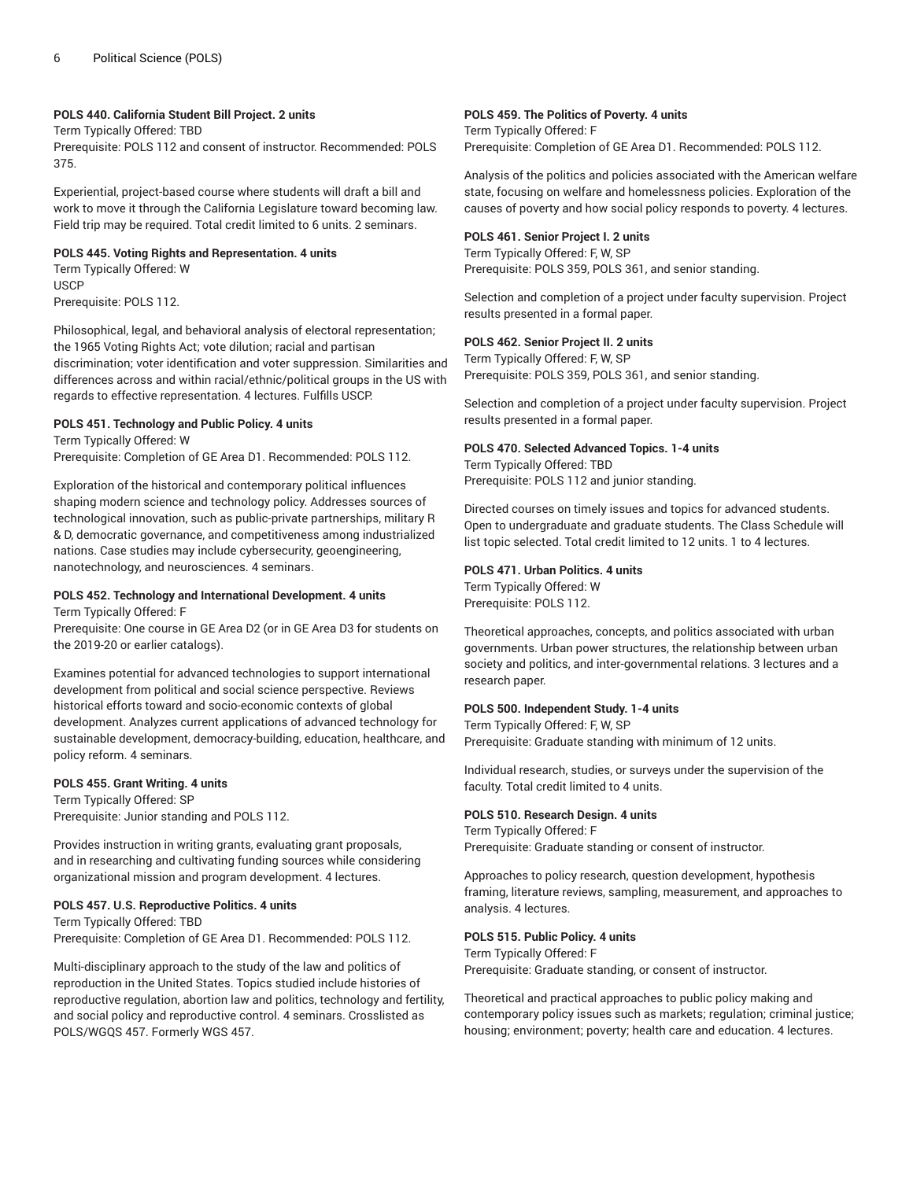# **POLS 440. California Student Bill Project. 2 units**

Term Typically Offered: TBD

Prerequisite: POLS 112 and consent of instructor. Recommended: POLS 375.

Experiential, project-based course where students will draft a bill and work to move it through the California Legislature toward becoming law. Field trip may be required. Total credit limited to 6 units. 2 seminars.

#### **POLS 445. Voting Rights and Representation. 4 units**

Term Typically Offered: W USCP Prerequisite: POLS 112.

Philosophical, legal, and behavioral analysis of electoral representation; the 1965 Voting Rights Act; vote dilution; racial and partisan discrimination; voter identification and voter suppression. Similarities and differences across and within racial/ethnic/political groups in the US with regards to effective representation. 4 lectures. Fulfills USCP.

# **POLS 451. Technology and Public Policy. 4 units**

Term Typically Offered: W

Prerequisite: Completion of GE Area D1. Recommended: POLS 112.

Exploration of the historical and contemporary political influences shaping modern science and technology policy. Addresses sources of technological innovation, such as public-private partnerships, military R & D, democratic governance, and competitiveness among industrialized nations. Case studies may include cybersecurity, geoengineering, nanotechnology, and neurosciences. 4 seminars.

#### **POLS 452. Technology and International Development. 4 units** Term Typically Offered: F

Prerequisite: One course in GE Area D2 (or in GE Area D3 for students on the 2019-20 or earlier catalogs).

Examines potential for advanced technologies to support international development from political and social science perspective. Reviews historical efforts toward and socio-economic contexts of global development. Analyzes current applications of advanced technology for sustainable development, democracy-building, education, healthcare, and policy reform. 4 seminars.

# **POLS 455. Grant Writing. 4 units**

Term Typically Offered: SP Prerequisite: Junior standing and POLS 112.

Provides instruction in writing grants, evaluating grant proposals, and in researching and cultivating funding sources while considering organizational mission and program development. 4 lectures.

# **POLS 457. U.S. Reproductive Politics. 4 units**

Term Typically Offered: TBD Prerequisite: Completion of GE Area D1. Recommended: POLS 112.

Multi-disciplinary approach to the study of the law and politics of reproduction in the United States. Topics studied include histories of reproductive regulation, abortion law and politics, technology and fertility, and social policy and reproductive control. 4 seminars. Crosslisted as POLS/WGQS 457. Formerly WGS 457.

# **POLS 459. The Politics of Poverty. 4 units**

Term Typically Offered: F Prerequisite: Completion of GE Area D1. Recommended: POLS 112.

Analysis of the politics and policies associated with the American welfare state, focusing on welfare and homelessness policies. Exploration of the causes of poverty and how social policy responds to poverty. 4 lectures.

#### **POLS 461. Senior Project I. 2 units**

Term Typically Offered: F, W, SP Prerequisite: POLS 359, POLS 361, and senior standing.

Selection and completion of a project under faculty supervision. Project results presented in a formal paper.

#### **POLS 462. Senior Project II. 2 units**

Term Typically Offered: F, W, SP Prerequisite: POLS 359, POLS 361, and senior standing.

Selection and completion of a project under faculty supervision. Project results presented in a formal paper.

# **POLS 470. Selected Advanced Topics. 1-4 units**

Term Typically Offered: TBD Prerequisite: POLS 112 and junior standing.

Directed courses on timely issues and topics for advanced students. Open to undergraduate and graduate students. The Class Schedule will list topic selected. Total credit limited to 12 units. 1 to 4 lectures.

#### **POLS 471. Urban Politics. 4 units**

Term Typically Offered: W Prerequisite: POLS 112.

Theoretical approaches, concepts, and politics associated with urban governments. Urban power structures, the relationship between urban society and politics, and inter-governmental relations. 3 lectures and a research paper.

#### **POLS 500. Independent Study. 1-4 units**

Term Typically Offered: F, W, SP Prerequisite: Graduate standing with minimum of 12 units.

Individual research, studies, or surveys under the supervision of the faculty. Total credit limited to 4 units.

# **POLS 510. Research Design. 4 units**

Term Typically Offered: F

Prerequisite: Graduate standing or consent of instructor.

Approaches to policy research, question development, hypothesis framing, literature reviews, sampling, measurement, and approaches to analysis. 4 lectures.

# **POLS 515. Public Policy. 4 units**

Term Typically Offered: F Prerequisite: Graduate standing, or consent of instructor.

Theoretical and practical approaches to public policy making and contemporary policy issues such as markets; regulation; criminal justice; housing; environment; poverty; health care and education. 4 lectures.